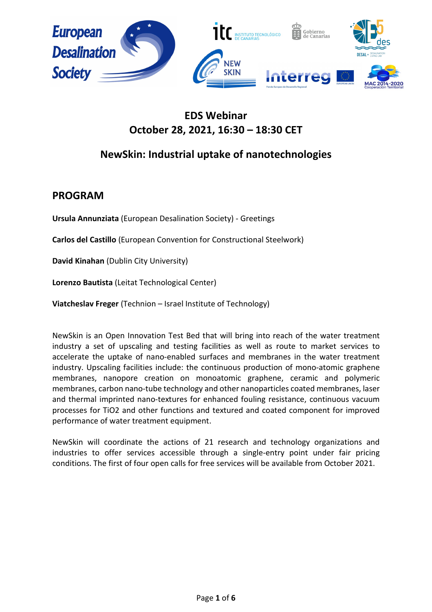

# **EDS Webinar October 28, 2021, 16:30 – 18:30 CET**

# **NewSkin: Industrial uptake of nanotechnologies**

## **PROGRAM**

**Ursula Annunziata** (European Desalination Society) - Greetings

**Carlos del Castillo** (European Convention for Constructional Steelwork)

**David Kinahan** (Dublin City University)

**Lorenzo Bautista** (Leitat Technological Center)

**Viatcheslav Freger** (Technion – Israel Institute of Technology)

NewSkin is an Open Innovation Test Bed that will bring into reach of the water treatment industry a set of upscaling and testing facilities as well as route to market services to accelerate the uptake of nano-enabled surfaces and membranes in the water treatment industry. Upscaling facilities include: the continuous production of mono-atomic graphene membranes, nanopore creation on monoatomic graphene, ceramic and polymeric membranes, carbon nano-tube technology and other nanoparticles coated membranes, laser and thermal imprinted nano-textures for enhanced fouling resistance, continuous vacuum processes for TiO2 and other functions and textured and coated component for improved performance of water treatment equipment.

NewSkin will coordinate the actions of 21 research and technology organizations and industries to offer services accessible through a single-entry point under fair pricing conditions. The first of four open calls for free services will be available from October 2021.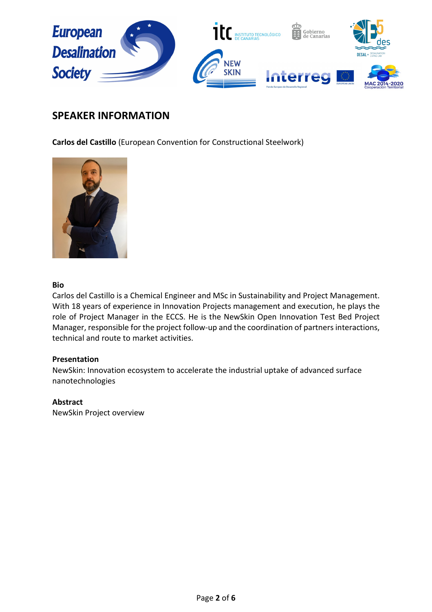

## **SPEAKER INFORMATION**

**Carlos del Castillo** (European Convention for Constructional Steelwork)



## **Bio**

Carlos del Castillo is a Chemical Engineer and MSc in Sustainability and Project Management. With 18 years of experience in Innovation Projects management and execution, he plays the role of Project Manager in the ECCS. He is the NewSkin Open Innovation Test Bed Project Manager, responsible for the project follow-up and the coordination of partners interactions, technical and route to market activities.

## **Presentation**

NewSkin: Innovation ecosystem to accelerate the industrial uptake of advanced surface nanotechnologies

## **Abstract**

NewSkin Project overview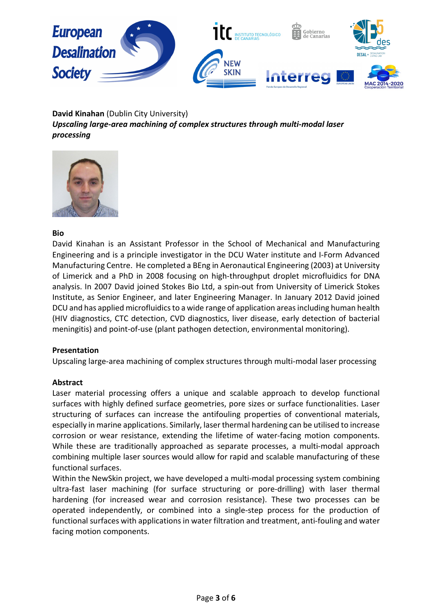

**David Kinahan** (Dublin City University) *Upscaling large-area machining of complex structures through multi-modal laser processing*



## **Bio**

David Kinahan is an Assistant Professor in the School of Mechanical and Manufacturing Engineering and is a principle investigator in the DCU Water institute and I-Form Advanced Manufacturing Centre. He completed a BEng in Aeronautical Engineering (2003) at University of Limerick and a PhD in 2008 focusing on high-throughput droplet microfluidics for DNA analysis. In 2007 David joined Stokes Bio Ltd, a spin-out from University of Limerick Stokes Institute, as Senior Engineer, and later Engineering Manager. In January 2012 David joined DCU and has applied microfluidics to a wide range of application areas including human health (HIV diagnostics, CTC detection, CVD diagnostics, liver disease, early detection of bacterial meningitis) and point-of-use (plant pathogen detection, environmental monitoring).

## **Presentation**

Upscaling large-area machining of complex structures through multi-modal laser processing

#### **Abstract**

Laser material processing offers a unique and scalable approach to develop functional surfaces with highly defined surface geometries, pore sizes or surface functionalities. Laser structuring of surfaces can increase the antifouling properties of conventional materials, especially in marine applications. Similarly, laser thermal hardening can be utilised to increase corrosion or wear resistance, extending the lifetime of water-facing motion components. While these are traditionally approached as separate processes, a multi-modal approach combining multiple laser sources would allow for rapid and scalable manufacturing of these functional surfaces.

Within the NewSkin project, we have developed a multi-modal processing system combining ultra-fast laser machining (for surface structuring or pore-drilling) with laser thermal hardening (for increased wear and corrosion resistance). These two processes can be operated independently, or combined into a single-step process for the production of functional surfaces with applications in water filtration and treatment, anti-fouling and water facing motion components.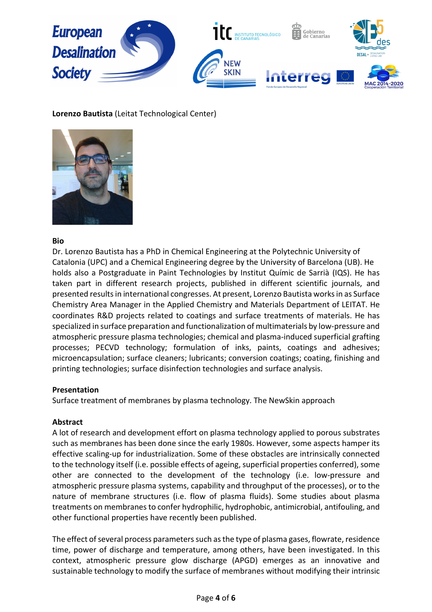

## **Lorenzo Bautista** (Leitat Technological Center)



## **Bio**

Dr. Lorenzo Bautista has a PhD in Chemical Engineering at the Polytechnic University of Catalonia (UPC) and a Chemical Engineering degree by the University of Barcelona (UB). He holds also a Postgraduate in Paint Technologies by Institut Químic de Sarrià (IQS). He has taken part in different research projects, published in different scientific journals, and presented results in international congresses. At present, Lorenzo Bautista works in as Surface Chemistry Area Manager in the Applied Chemistry and Materials Department of LEITAT. He coordinates R&D projects related to coatings and surface treatments of materials. He has specialized in surface preparation and functionalization of multimaterials by low-pressure and atmospheric pressure plasma technologies; chemical and plasma-induced superficial grafting processes; PECVD technology; formulation of inks, paints, coatings and adhesives; microencapsulation; surface cleaners; lubricants; conversion coatings; coating, finishing and printing technologies; surface disinfection technologies and surface analysis.

## **Presentation**

Surface treatment of membranes by plasma technology. The NewSkin approach

## **Abstract**

A lot of research and development effort on plasma technology applied to porous substrates such as membranes has been done since the early 1980s. However, some aspects hamper its effective scaling-up for industrialization. Some of these obstacles are intrinsically connected to the technology itself (i.e. possible effects of ageing, superficial properties conferred), some other are connected to the development of the technology (i.e. low-pressure and atmospheric pressure plasma systems, capability and throughput of the processes), or to the nature of membrane structures (i.e. flow of plasma fluids). Some studies about plasma treatments on membranes to confer hydrophilic, hydrophobic, antimicrobial, antifouling, and other functional properties have recently been published.

The effect of several process parameters such as the type of plasma gases, flowrate, residence time, power of discharge and temperature, among others, have been investigated. In this context, atmospheric pressure glow discharge (APGD) emerges as an innovative and sustainable technology to modify the surface of membranes without modifying their intrinsic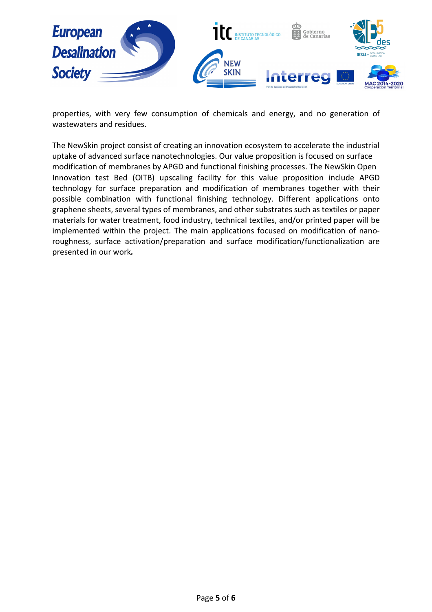

properties, with very few consumption of chemicals and energy, and no generation of wastewaters and residues.

The NewSkin project consist of creating an innovation ecosystem to accelerate the industrial uptake of advanced surface nanotechnologies. Our value proposition is focused on surface modification of membranes by APGD and functional finishing processes. The NewSkin Open Innovation test Bed (OITB) upscaling facility for this value proposition include APGD technology for surface preparation and modification of membranes together with their possible combination with functional finishing technology. Different applications onto graphene sheets, several types of membranes, and other substrates such as textiles or paper materials for water treatment, food industry, technical textiles, and/or printed paper will be implemented within the project. The main applications focused on modification of nanoroughness, surface activation/preparation and surface modification/functionalization are presented in our work*.*